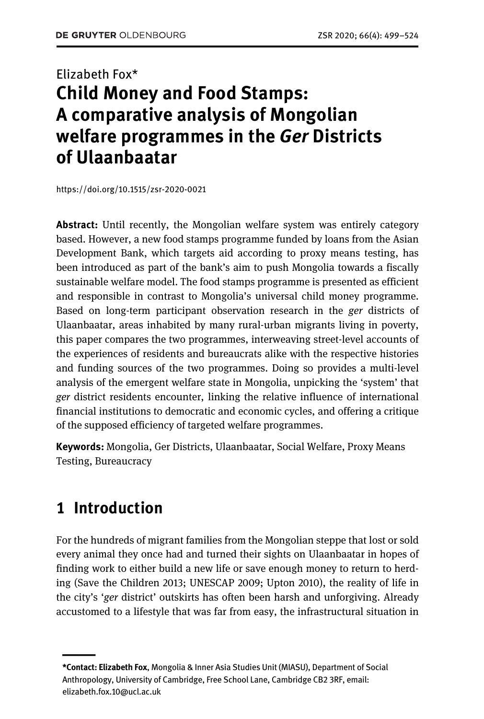## Elizabeth Fox\* **Child Money and Food Stamps: A comparative analysis of Mongolian welfare programmes in the** *Ger* **Districts of Ulaanbaatar**

https://doi.org/10.1515/zsr-2020-0021

**Abstract:** Until recently, the Mongolian welfare system was entirely category based. However, a new food stamps programme funded by loans from the Asian Development Bank, which targets aid according to proxy means testing, has been introduced as part of the bank's aim to push Mongolia towards a fiscally sustainable welfare model. The food stamps programme is presented as efficient and responsible in contrast to Mongolia's universal child money programme. Based on long-term participant observation research in the *ger* districts of Ulaanbaatar, areas inhabited by many rural-urban migrants living in poverty, this paper compares the two programmes, interweaving street-level accounts of the experiences of residents and bureaucrats alike with the respective histories and funding sources of the two programmes. Doing so provides a multi-level analysis of the emergent welfare state in Mongolia, unpicking the 'system' that *ger* district residents encounter, linking the relative influence of international financial institutions to democratic and economic cycles, and offering a critique of the supposed efficiency of targeted welfare programmes.

**Keywords:** Mongolia, Ger Districts, Ulaanbaatar, Social Welfare, Proxy Means Testing, Bureaucracy

## **1 Introduction**

——<br>——

For the hundreds of migrant families from the Mongolian steppe that lost or sold every animal they once had and turned their sights on Ulaanbaatar in hopes of finding work to either build a new life or save enough money to return to herding (Save the Children 2013; UNESCAP 2009; Upton 2010), the reality of life in the city's '*ger* district' outskirts has often been harsh and unforgiving. Already accustomed to a lifestyle that was far from easy, the infrastructural situation in

**<sup>\*</sup>Contact: Elizabeth Fox**, Mongolia & Inner Asia Studies Unit (MIASU), Department of Social Anthropology, University of Cambridge, Free School Lane, Cambridge CB2 3RF, email: elizabeth.fox.10@ucl.ac.uk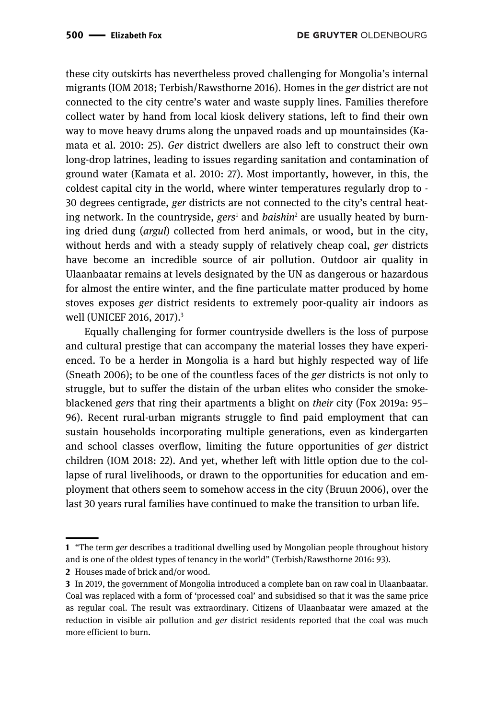these city outskirts has nevertheless proved challenging for Mongolia's internal migrants (IOM 2018; Terbish/Rawsthorne 2016). Homes in the *ger* district are not connected to the city centre's water and waste supply lines. Families therefore collect water by hand from local kiosk delivery stations, left to find their own way to move heavy drums along the unpaved roads and up mountainsides (Kamata et al. 2010: 25). *Ger* district dwellers are also left to construct their own long-drop latrines, leading to issues regarding sanitation and contamination of ground water (Kamata et al. 2010: 27). Most importantly, however, in this, the coldest capital city in the world, where winter temperatures regularly drop to - 30 degrees centigrade, *ger* districts are not connected to the city's central heating network. In the countryside, *gers*<sup>1</sup> and *baishin*<sup>2</sup> are usually heated by burning dried dung (*argul*) collected from herd animals, or wood, but in the city, without herds and with a steady supply of relatively cheap coal, *ger* districts have become an incredible source of air pollution. Outdoor air quality in Ulaanbaatar remains at levels designated by the UN as dangerous or hazardous for almost the entire winter, and the fine particulate matter produced by home stoves exposes *ger* district residents to extremely poor-quality air indoors as well (UNICEF 2016, 2017).<sup>3</sup>

Equally challenging for former countryside dwellers is the loss of purpose and cultural prestige that can accompany the material losses they have experienced. To be a herder in Mongolia is a hard but highly respected way of life (Sneath 2006); to be one of the countless faces of the *ger* districts is not only to struggle, but to suffer the distain of the urban elites who consider the smokeblackened *gers* that ring their apartments a blight on *their* city (Fox 2019a: 95– 96). Recent rural-urban migrants struggle to find paid employment that can sustain households incorporating multiple generations, even as kindergarten and school classes overflow, limiting the future opportunities of *ger* district children (IOM 2018: 22). And yet, whether left with little option due to the collapse of rural livelihoods, or drawn to the opportunities for education and employment that others seem to somehow access in the city (Bruun 2006), over the last 30 years rural families have continued to make the transition to urban life.

<sup>————&</sup>lt;br>|-<br>| **1** "The term *ger* describes a traditional dwelling used by Mongolian people throughout history and is one of the oldest types of tenancy in the world" (Terbish/Rawsthorne 2016: 93).

**<sup>2</sup>** Houses made of brick and/or wood.

**<sup>3</sup>** In 2019, the government of Mongolia introduced a complete ban on raw coal in Ulaanbaatar. Coal was replaced with a form of 'processed coal' and subsidised so that it was the same price as regular coal. The result was extraordinary. Citizens of Ulaanbaatar were amazed at the reduction in visible air pollution and *ger* district residents reported that the coal was much more efficient to burn.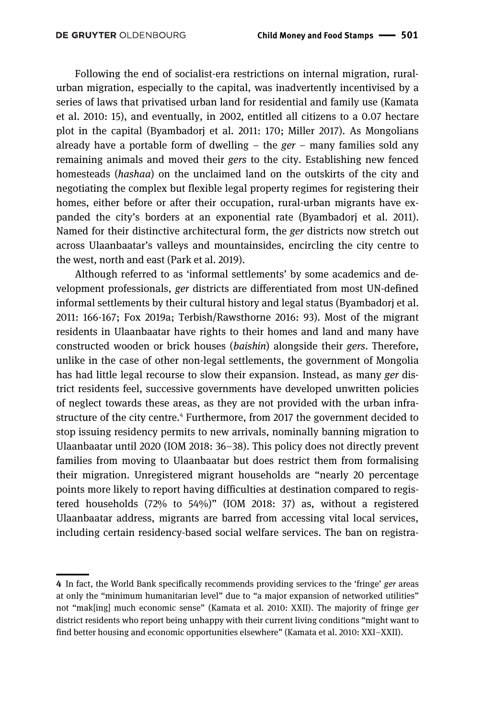Following the end of socialist-era restrictions on internal migration, ruralurban migration, especially to the capital, was inadvertently incentivised by a series of laws that privatised urban land for residential and family use (Kamata et al. 2010: 15), and eventually, in 2002, entitled all citizens to a 0.07 hectare plot in the capital (Byambadorj et al. 2011: 170; Miller 2017). As Mongolians already have a portable form of dwelling – the *ger* – many families sold any remaining animals and moved their *gers* to the city. Establishing new fenced homesteads (*hashaa*) on the unclaimed land on the outskirts of the city and negotiating the complex but flexible legal property regimes for registering their homes, either before or after their occupation, rural-urban migrants have expanded the city's borders at an exponential rate (Byambadorj et al. 2011). Named for their distinctive architectural form, the *ger* districts now stretch out across Ulaanbaatar's valleys and mountainsides, encircling the city centre to the west, north and east (Park et al. 2019).

Although referred to as 'informal settlements' by some academics and development professionals, *ger* districts are differentiated from most UN-defined informal settlements by their cultural history and legal status (Byambadorj et al. 2011: 166-167; Fox 2019a; Terbish/Rawsthorne 2016: 93). Most of the migrant residents in Ulaanbaatar have rights to their homes and land and many have constructed wooden or brick houses (*baishin*) alongside their *gers*. Therefore, unlike in the case of other non-legal settlements, the government of Mongolia has had little legal recourse to slow their expansion. Instead, as many *ger* district residents feel, successive governments have developed unwritten policies of neglect towards these areas, as they are not provided with the urban infrastructure of the city centre.<sup>4</sup> Furthermore, from 2017 the government decided to stop issuing residency permits to new arrivals, nominally banning migration to Ulaanbaatar until 2020 (IOM 2018: 36–38). This policy does not directly prevent families from moving to Ulaanbaatar but does restrict them from formalising their migration. Unregistered migrant households are "nearly 20 percentage points more likely to report having difficulties at destination compared to registered households (72% to 54%)" (IOM 2018: 37) as, without a registered Ulaanbaatar address, migrants are barred from accessing vital local services, including certain residency-based social welfare services. The ban on registra-

<sup>||</sup>**4** In fact, the World Bank specifically recommends providing services to the 'fringe' *ger* areas at only the "minimum humanitarian level" due to "a major expansion of networked utilities" not "mak[ing] much economic sense" (Kamata et al. 2010: XXII). The majority of fringe *ger* district residents who report being unhappy with their current living conditions "might want to find better housing and economic opportunities elsewhere" (Kamata et al. 2010: XXI–XXII).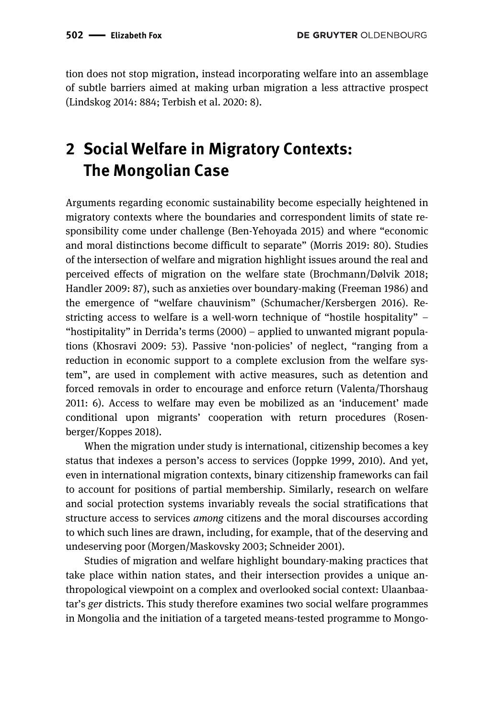tion does not stop migration, instead incorporating welfare into an assemblage of subtle barriers aimed at making urban migration a less attractive prospect (Lindskog 2014: 884; Terbish et al. 2020: 8).

# **2 Social Welfare in Migratory Contexts: The Mongolian Case**

Arguments regarding economic sustainability become especially heightened in migratory contexts where the boundaries and correspondent limits of state responsibility come under challenge (Ben-Yehoyada 2015) and where "economic and moral distinctions become difficult to separate" (Morris 2019: 80). Studies of the intersection of welfare and migration highlight issues around the real and perceived effects of migration on the welfare state (Brochmann/Dølvik 2018; Handler 2009: 87), such as anxieties over boundary-making (Freeman 1986) and the emergence of "welfare chauvinism" (Schumacher/Kersbergen 2016). Restricting access to welfare is a well-worn technique of "hostile hospitality" – "hostipitality" in Derrida's terms (2000) – applied to unwanted migrant populations (Khosravi 2009: 53). Passive 'non-policies' of neglect, "ranging from a reduction in economic support to a complete exclusion from the welfare system", are used in complement with active measures, such as detention and forced removals in order to encourage and enforce return (Valenta/Thorshaug 2011: 6). Access to welfare may even be mobilized as an 'inducement' made conditional upon migrants' cooperation with return procedures (Rosenberger/Koppes 2018).

When the migration under study is international, citizenship becomes a key status that indexes a person's access to services (Joppke 1999, 2010). And yet, even in international migration contexts, binary citizenship frameworks can fail to account for positions of partial membership. Similarly, research on welfare and social protection systems invariably reveals the social stratifications that structure access to services *among* citizens and the moral discourses according to which such lines are drawn, including, for example, that of the deserving and undeserving poor (Morgen/Maskovsky 2003; Schneider 2001).

Studies of migration and welfare highlight boundary-making practices that take place within nation states, and their intersection provides a unique anthropological viewpoint on a complex and overlooked social context: Ulaanbaatar's *ger* districts. This study therefore examines two social welfare programmes in Mongolia and the initiation of a targeted means-tested programme to Mongo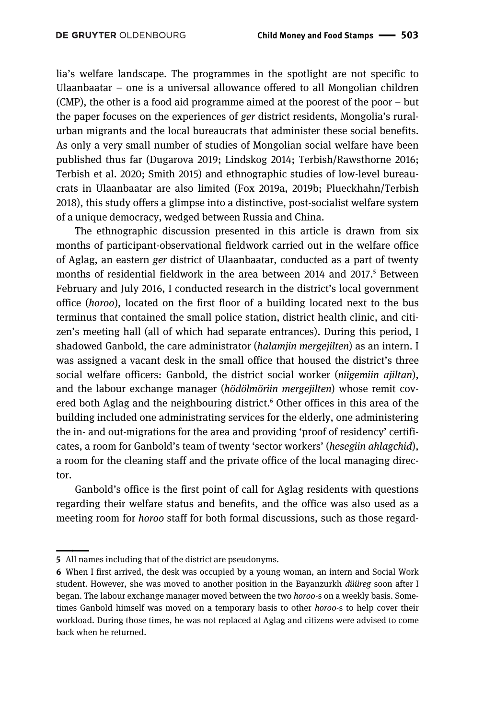lia's welfare landscape. The programmes in the spotlight are not specific to Ulaanbaatar – one is a universal allowance offered to all Mongolian children (CMP), the other is a food aid programme aimed at the poorest of the poor – but the paper focuses on the experiences of *ger* district residents, Mongolia's ruralurban migrants and the local bureaucrats that administer these social benefits. As only a very small number of studies of Mongolian social welfare have been published thus far (Dugarova 2019; Lindskog 2014; Terbish/Rawsthorne 2016; Terbish et al. 2020; Smith 2015) and ethnographic studies of low-level bureaucrats in Ulaanbaatar are also limited (Fox 2019a, 2019b; Plueckhahn/Terbish 2018), this study offers a glimpse into a distinctive, post-socialist welfare system of a unique democracy, wedged between Russia and China.

The ethnographic discussion presented in this article is drawn from six months of participant-observational fieldwork carried out in the welfare office of Aglag, an eastern *ger* district of Ulaanbaatar, conducted as a part of twenty months of residential fieldwork in the area between 2014 and 2017.<sup>5</sup> Between February and July 2016, I conducted research in the district's local government office (*horoo*), located on the first floor of a building located next to the bus terminus that contained the small police station, district health clinic, and citizen's meeting hall (all of which had separate entrances). During this period, I shadowed Ganbold, the care administrator (*halamjin mergejilten*) as an intern. I was assigned a vacant desk in the small office that housed the district's three social welfare officers: Ganbold, the district social worker (*niigemiin ajiltan*), and the labour exchange manager (*hödölmöriin mergejilten*) whose remit covered both Aglag and the neighbouring district.<sup>6</sup> Other offices in this area of the building included one administrating services for the elderly, one administering the in- and out-migrations for the area and providing 'proof of residency' certificates, a room for Ganbold's team of twenty 'sector workers' (*hesegiin ahlagchid*), a room for the cleaning staff and the private office of the local managing director.

Ganbold's office is the first point of call for Aglag residents with questions regarding their welfare status and benefits, and the office was also used as a meeting room for *horoo* staff for both formal discussions, such as those regard-

<sup>||</sup>**5** All names including that of the district are pseudonyms.

**<sup>6</sup>** When I first arrived, the desk was occupied by a young woman, an intern and Social Work student. However, she was moved to another position in the Bayanzurkh *düüreg* soon after I began. The labour exchange manager moved between the two *horoo*-s on a weekly basis. Sometimes Ganbold himself was moved on a temporary basis to other *horoo*-s to help cover their workload. During those times, he was not replaced at Aglag and citizens were advised to come back when he returned.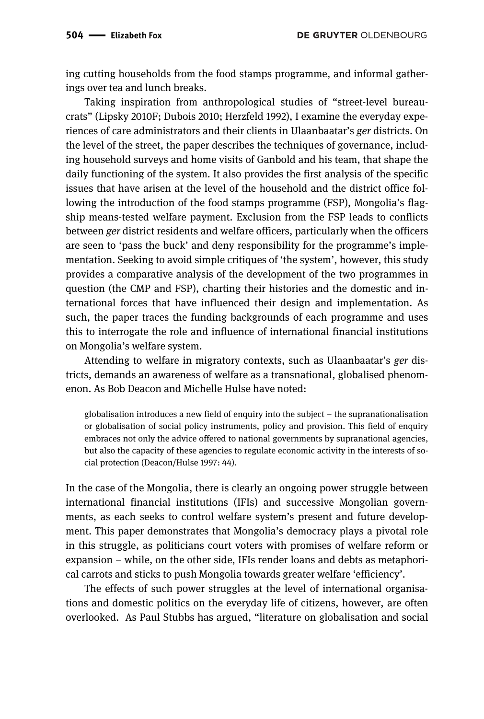ing cutting households from the food stamps programme, and informal gatherings over tea and lunch breaks.

Taking inspiration from anthropological studies of "street-level bureaucrats" (Lipsky 2010F; Dubois 2010; Herzfeld 1992), I examine the everyday experiences of care administrators and their clients in Ulaanbaatar's *ger* districts. On the level of the street, the paper describes the techniques of governance, including household surveys and home visits of Ganbold and his team, that shape the daily functioning of the system. It also provides the first analysis of the specific issues that have arisen at the level of the household and the district office following the introduction of the food stamps programme (FSP), Mongolia's flagship means-tested welfare payment. Exclusion from the FSP leads to conflicts between *ger* district residents and welfare officers, particularly when the officers are seen to 'pass the buck' and deny responsibility for the programme's implementation. Seeking to avoid simple critiques of 'the system', however, this study provides a comparative analysis of the development of the two programmes in question (the CMP and FSP), charting their histories and the domestic and international forces that have influenced their design and implementation. As such, the paper traces the funding backgrounds of each programme and uses this to interrogate the role and influence of international financial institutions on Mongolia's welfare system.

Attending to welfare in migratory contexts, such as Ulaanbaatar's *ger* districts, demands an awareness of welfare as a transnational, globalised phenomenon. As Bob Deacon and Michelle Hulse have noted:

globalisation introduces a new field of enquiry into the subject – the supranationalisation or globalisation of social policy instruments, policy and provision. This field of enquiry embraces not only the advice offered to national governments by supranational agencies, but also the capacity of these agencies to regulate economic activity in the interests of social protection (Deacon/Hulse 1997: 44).

In the case of the Mongolia, there is clearly an ongoing power struggle between international financial institutions (IFIs) and successive Mongolian governments, as each seeks to control welfare system's present and future development. This paper demonstrates that Mongolia's democracy plays a pivotal role in this struggle, as politicians court voters with promises of welfare reform or expansion – while, on the other side, IFIs render loans and debts as metaphorical carrots and sticks to push Mongolia towards greater welfare 'efficiency'.

The effects of such power struggles at the level of international organisations and domestic politics on the everyday life of citizens, however, are often overlooked. As Paul Stubbs has argued, "literature on globalisation and social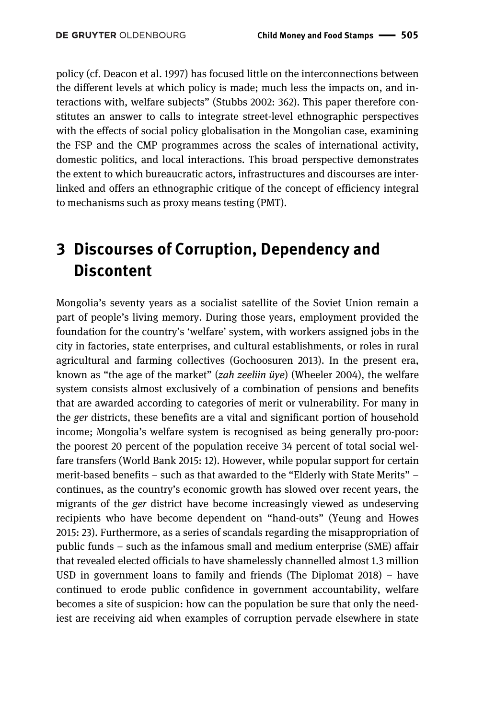policy (cf. Deacon et al. 1997) has focused little on the interconnections between the different levels at which policy is made; much less the impacts on, and interactions with, welfare subjects" (Stubbs 2002: 362). This paper therefore constitutes an answer to calls to integrate street-level ethnographic perspectives with the effects of social policy globalisation in the Mongolian case, examining the FSP and the CMP programmes across the scales of international activity, domestic politics, and local interactions. This broad perspective demonstrates the extent to which bureaucratic actors, infrastructures and discourses are interlinked and offers an ethnographic critique of the concept of efficiency integral to mechanisms such as proxy means testing (PMT).

## **3 Discourses of Corruption, Dependency and Discontent**

Mongolia's seventy years as a socialist satellite of the Soviet Union remain a part of people's living memory. During those years, employment provided the foundation for the country's 'welfare' system, with workers assigned jobs in the city in factories, state enterprises, and cultural establishments, or roles in rural agricultural and farming collectives (Gochoosuren 2013). In the present era, known as "the age of the market" (*zah zeeliin üye*) (Wheeler 2004), the welfare system consists almost exclusively of a combination of pensions and benefits that are awarded according to categories of merit or vulnerability. For many in the *ger* districts, these benefits are a vital and significant portion of household income; Mongolia's welfare system is recognised as being generally pro-poor: the poorest 20 percent of the population receive 34 percent of total social welfare transfers (World Bank 2015: 12). However, while popular support for certain merit-based benefits – such as that awarded to the "Elderly with State Merits" – continues, as the country's economic growth has slowed over recent years, the migrants of the *ger* district have become increasingly viewed as undeserving recipients who have become dependent on "hand-outs" (Yeung and Howes 2015: 23). Furthermore, as a series of scandals regarding the misappropriation of public funds – such as the infamous small and medium enterprise (SME) affair that revealed elected officials to have shamelessly channelled almost 1.3 million USD in government loans to family and friends (The Diplomat 2018) – have continued to erode public confidence in government accountability, welfare becomes a site of suspicion: how can the population be sure that only the neediest are receiving aid when examples of corruption pervade elsewhere in state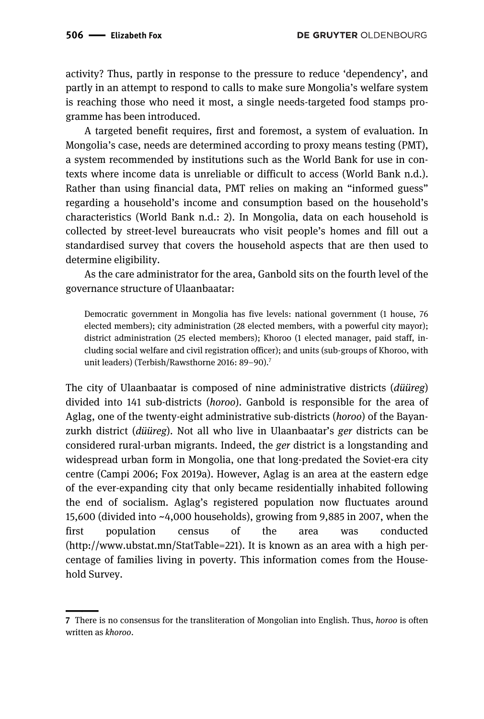activity? Thus, partly in response to the pressure to reduce 'dependency', and partly in an attempt to respond to calls to make sure Mongolia's welfare system is reaching those who need it most, a single needs-targeted food stamps programme has been introduced.

A targeted benefit requires, first and foremost, a system of evaluation. In Mongolia's case, needs are determined according to proxy means testing (PMT), a system recommended by institutions such as the World Bank for use in contexts where income data is unreliable or difficult to access (World Bank n.d.). Rather than using financial data, PMT relies on making an "informed guess" regarding a household's income and consumption based on the household's characteristics (World Bank n.d.: 2). In Mongolia, data on each household is collected by street-level bureaucrats who visit people's homes and fill out a standardised survey that covers the household aspects that are then used to determine eligibility.

As the care administrator for the area, Ganbold sits on the fourth level of the governance structure of Ulaanbaatar:

Democratic government in Mongolia has five levels: national government (1 house, 76 elected members); city administration (28 elected members, with a powerful city mayor); district administration (25 elected members); Khoroo (1 elected manager, paid staff, including social welfare and civil registration officer); and units (sub-groups of Khoroo, with unit leaders) (Terbish/Rawsthorne 2016: 89-90).<sup>7</sup>

The city of Ulaanbaatar is composed of nine administrative districts (*düüreg*) divided into 141 sub-districts (*horoo*). Ganbold is responsible for the area of Aglag, one of the twenty-eight administrative sub-districts (*horoo*) of the Bayanzurkh district (*düüreg*). Not all who live in Ulaanbaatar's *ger* districts can be considered rural-urban migrants. Indeed, the *ger* district is a longstanding and widespread urban form in Mongolia, one that long-predated the Soviet-era city centre (Campi 2006; Fox 2019a). However, Aglag is an area at the eastern edge of the ever-expanding city that only became residentially inhabited following the end of socialism. Aglag's registered population now fluctuates around 15,600 (divided into ~4,000 households), growing from 9,885 in 2007, when the first population census of the area was conducted (http://www.ubstat.mn/StatTable=221). It is known as an area with a high percentage of families living in poverty. This information comes from the Household Survey.

<sup>————&</sup>lt;br>|-<br>| **7** There is no consensus for the transliteration of Mongolian into English. Thus, *horoo* is often written as *khoroo*.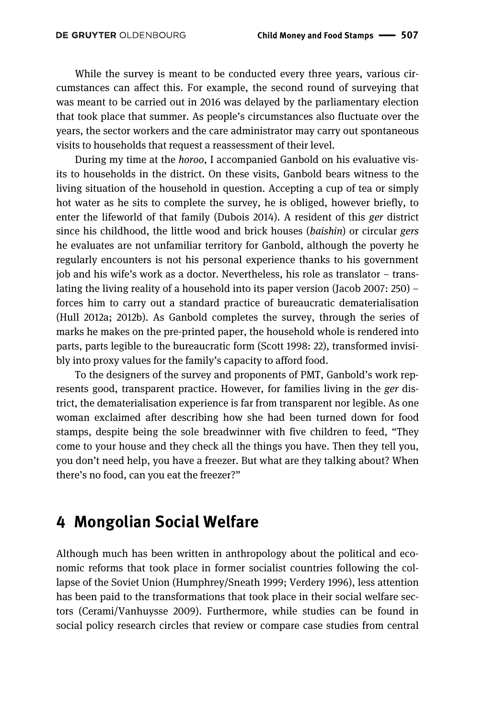While the survey is meant to be conducted every three years, various circumstances can affect this. For example, the second round of surveying that was meant to be carried out in 2016 was delayed by the parliamentary election that took place that summer. As people's circumstances also fluctuate over the years, the sector workers and the care administrator may carry out spontaneous visits to households that request a reassessment of their level.

During my time at the *horoo*, I accompanied Ganbold on his evaluative visits to households in the district. On these visits, Ganbold bears witness to the living situation of the household in question. Accepting a cup of tea or simply hot water as he sits to complete the survey, he is obliged, however briefly, to enter the lifeworld of that family (Dubois 2014). A resident of this *ger* district since his childhood, the little wood and brick houses (*baishin*) or circular *gers*  he evaluates are not unfamiliar territory for Ganbold, although the poverty he regularly encounters is not his personal experience thanks to his government job and his wife's work as a doctor. Nevertheless, his role as translator – translating the living reality of a household into its paper version (Jacob 2007: 250) – forces him to carry out a standard practice of bureaucratic dematerialisation (Hull 2012a; 2012b). As Ganbold completes the survey, through the series of marks he makes on the pre-printed paper, the household whole is rendered into parts, parts legible to the bureaucratic form (Scott 1998: 22), transformed invisibly into proxy values for the family's capacity to afford food.

To the designers of the survey and proponents of PMT, Ganbold's work represents good, transparent practice. However, for families living in the *ger* district, the dematerialisation experience is far from transparent nor legible. As one woman exclaimed after describing how she had been turned down for food stamps, despite being the sole breadwinner with five children to feed, "They come to your house and they check all the things you have. Then they tell you, you don't need help, you have a freezer. But what are they talking about? When there's no food, can you eat the freezer?"

#### **4 Mongolian Social Welfare**

Although much has been written in anthropology about the political and economic reforms that took place in former socialist countries following the collapse of the Soviet Union (Humphrey/Sneath 1999; Verdery 1996), less attention has been paid to the transformations that took place in their social welfare sectors (Cerami/Vanhuysse 2009). Furthermore, while studies can be found in social policy research circles that review or compare case studies from central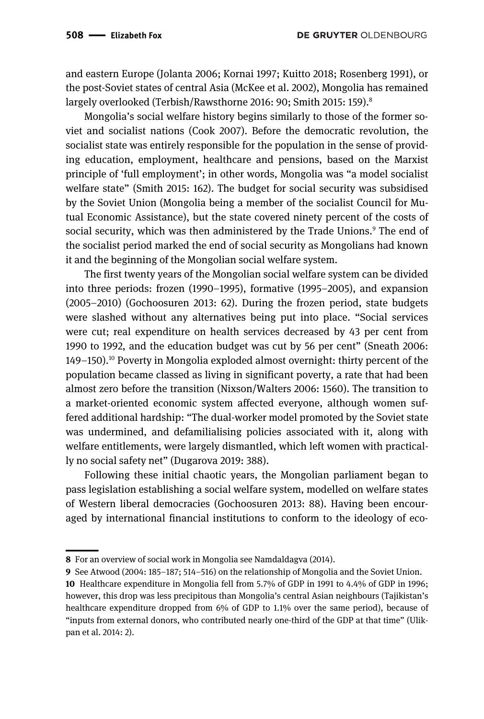and eastern Europe (Jolanta 2006; Kornai 1997; Kuitto 2018; Rosenberg 1991), or the post-Soviet states of central Asia (McKee et al. 2002), Mongolia has remained largely overlooked (Terbish/Rawsthorne 2016: 90; Smith 2015: 159).<sup>8</sup>

Mongolia's social welfare history begins similarly to those of the former soviet and socialist nations (Cook 2007). Before the democratic revolution, the socialist state was entirely responsible for the population in the sense of providing education, employment, healthcare and pensions, based on the Marxist principle of 'full employment'; in other words, Mongolia was "a model socialist welfare state" (Smith 2015: 162). The budget for social security was subsidised by the Soviet Union (Mongolia being a member of the socialist Council for Mutual Economic Assistance), but the state covered ninety percent of the costs of social security, which was then administered by the Trade Unions.<sup>9</sup> The end of the socialist period marked the end of social security as Mongolians had known it and the beginning of the Mongolian social welfare system.

The first twenty years of the Mongolian social welfare system can be divided into three periods: frozen (1990–1995), formative (1995–2005), and expansion (2005–2010) (Gochoosuren 2013: 62). During the frozen period, state budgets were slashed without any alternatives being put into place. "Social services were cut; real expenditure on health services decreased by 43 per cent from 1990 to 1992, and the education budget was cut by 56 per cent" (Sneath 2006:  $149-150$ .<sup>10</sup> Poverty in Mongolia exploded almost overnight: thirty percent of the population became classed as living in significant poverty, a rate that had been almost zero before the transition (Nixson/Walters 2006: 1560). The transition to a market-oriented economic system affected everyone, although women suffered additional hardship: "The dual-worker model promoted by the Soviet state was undermined, and defamilialising policies associated with it, along with welfare entitlements, were largely dismantled, which left women with practically no social safety net" (Dugarova 2019: 388).

Following these initial chaotic years, the Mongolian parliament began to pass legislation establishing a social welfare system, modelled on welfare states of Western liberal democracies (Gochoosuren 2013: 88). Having been encouraged by international financial institutions to conform to the ideology of eco-

<sup>||</sup>**8** For an overview of social work in Mongolia see Namdaldagva (2014).

**<sup>9</sup>** See Atwood (2004: 185–187; 514–516) on the relationship of Mongolia and the Soviet Union.

**<sup>10</sup>** Healthcare expenditure in Mongolia fell from 5.7% of GDP in 1991 to 4.4% of GDP in 1996; however, this drop was less precipitous than Mongolia's central Asian neighbours (Tajikistan's healthcare expenditure dropped from 6% of GDP to 1.1% over the same period), because of "inputs from external donors, who contributed nearly one-third of the GDP at that time" (Ulikpan et al. 2014: 2).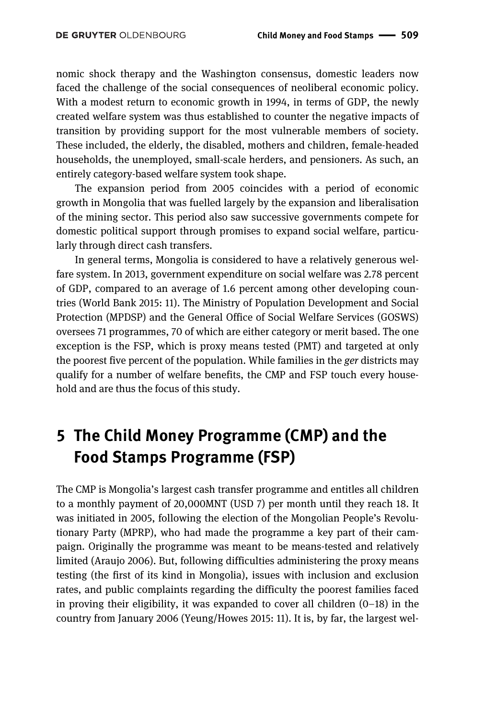nomic shock therapy and the Washington consensus, domestic leaders now faced the challenge of the social consequences of neoliberal economic policy. With a modest return to economic growth in 1994, in terms of GDP, the newly created welfare system was thus established to counter the negative impacts of transition by providing support for the most vulnerable members of society. These included, the elderly, the disabled, mothers and children, female-headed households, the unemployed, small-scale herders, and pensioners. As such, an entirely category-based welfare system took shape.

The expansion period from 2005 coincides with a period of economic growth in Mongolia that was fuelled largely by the expansion and liberalisation of the mining sector. This period also saw successive governments compete for domestic political support through promises to expand social welfare, particularly through direct cash transfers.

In general terms, Mongolia is considered to have a relatively generous welfare system. In 2013, government expenditure on social welfare was 2.78 percent of GDP, compared to an average of 1.6 percent among other developing countries (World Bank 2015: 11). The Ministry of Population Development and Social Protection (MPDSP) and the General Office of Social Welfare Services (GOSWS) oversees 71 programmes, 70 of which are either category or merit based. The one exception is the FSP, which is proxy means tested (PMT) and targeted at only the poorest five percent of the population. While families in the *ger* districts may qualify for a number of welfare benefits, the CMP and FSP touch every household and are thus the focus of this study.

### **5 The Child Money Programme (CMP) and the Food Stamps Programme (FSP)**

The CMP is Mongolia's largest cash transfer programme and entitles all children to a monthly payment of 20,000MNT (USD 7) per month until they reach 18. It was initiated in 2005, following the election of the Mongolian People's Revolutionary Party (MPRP), who had made the programme a key part of their campaign. Originally the programme was meant to be means-tested and relatively limited (Araujo 2006). But, following difficulties administering the proxy means testing (the first of its kind in Mongolia), issues with inclusion and exclusion rates, and public complaints regarding the difficulty the poorest families faced in proving their eligibility, it was expanded to cover all children  $(0-18)$  in the country from January 2006 (Yeung/Howes 2015: 11). It is, by far, the largest wel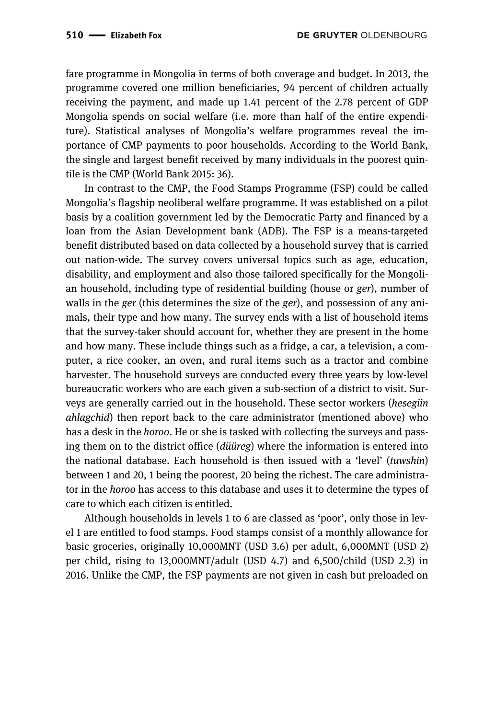fare programme in Mongolia in terms of both coverage and budget. In 2013, the programme covered one million beneficiaries, 94 percent of children actually receiving the payment, and made up 1.41 percent of the 2.78 percent of GDP Mongolia spends on social welfare (i.e. more than half of the entire expenditure). Statistical analyses of Mongolia's welfare programmes reveal the importance of CMP payments to poor households. According to the World Bank, the single and largest benefit received by many individuals in the poorest quintile is the CMP (World Bank 2015: 36).

In contrast to the CMP, the Food Stamps Programme (FSP) could be called Mongolia's flagship neoliberal welfare programme. It was established on a pilot basis by a coalition government led by the Democratic Party and financed by a loan from the Asian Development bank (ADB). The FSP is a means-targeted benefit distributed based on data collected by a household survey that is carried out nation-wide. The survey covers universal topics such as age, education, disability, and employment and also those tailored specifically for the Mongolian household, including type of residential building (house or *ger*), number of walls in the *ger* (this determines the size of the *ger*), and possession of any animals, their type and how many. The survey ends with a list of household items that the survey-taker should account for, whether they are present in the home and how many. These include things such as a fridge, a car, a television, a computer, a rice cooker, an oven, and rural items such as a tractor and combine harvester. The household surveys are conducted every three years by low-level bureaucratic workers who are each given a sub-section of a district to visit. Surveys are generally carried out in the household. These sector workers (*hesegiin ahlagchid*) then report back to the care administrator (mentioned above) who has a desk in the *horoo*. He or she is tasked with collecting the surveys and passing them on to the district office (*düüreg*) where the information is entered into the national database. Each household is then issued with a 'level' (*tuwshin*) between 1 and 20, 1 being the poorest, 20 being the richest. The care administrator in the *horoo* has access to this database and uses it to determine the types of care to which each citizen is entitled.

Although households in levels 1 to 6 are classed as 'poor', only those in level 1 are entitled to food stamps. Food stamps consist of a monthly allowance for basic groceries, originally 10,000MNT (USD 3.6) per adult, 6,000MNT (USD 2) per child, rising to 13,000MNT/adult (USD 4.7) and 6,500/child (USD 2.3) in 2016. Unlike the CMP, the FSP payments are not given in cash but preloaded on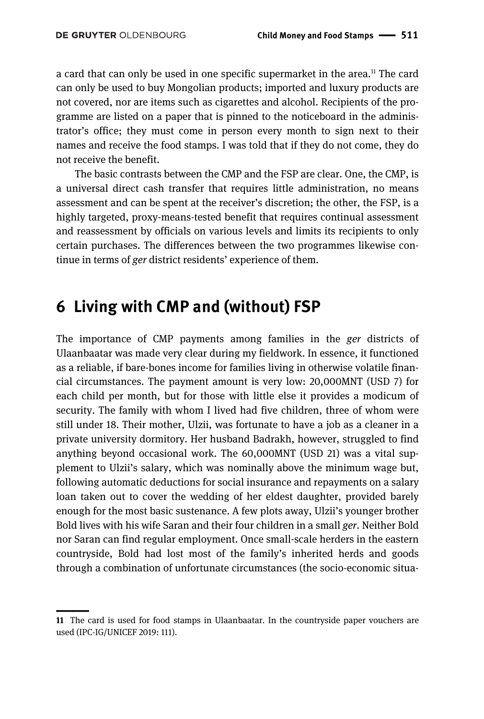a card that can only be used in one specific supermarket in the area.<sup>11</sup> The card can only be used to buy Mongolian products; imported and luxury products are not covered, nor are items such as cigarettes and alcohol. Recipients of the programme are listed on a paper that is pinned to the noticeboard in the administrator's office; they must come in person every month to sign next to their names and receive the food stamps. I was told that if they do not come, they do not receive the benefit.

The basic contrasts between the CMP and the FSP are clear. One, the CMP, is a universal direct cash transfer that requires little administration, no means assessment and can be spent at the receiver's discretion; the other, the FSP, is a highly targeted, proxy-means-tested benefit that requires continual assessment and reassessment by officials on various levels and limits its recipients to only certain purchases. The differences between the two programmes likewise continue in terms of *ger* district residents' experience of them.

#### **6 Living with CMP and (without) FSP**

The importance of CMP payments among families in the *ger* districts of Ulaanbaatar was made very clear during my fieldwork. In essence, it functioned as a reliable, if bare-bones income for families living in otherwise volatile financial circumstances. The payment amount is very low: 20,000MNT (USD 7) for each child per month, but for those with little else it provides a modicum of security. The family with whom I lived had five children, three of whom were still under 18. Their mother, Ulzii, was fortunate to have a job as a cleaner in a private university dormitory. Her husband Badrakh, however, struggled to find anything beyond occasional work. The 60,000MNT (USD 21) was a vital supplement to Ulzii's salary, which was nominally above the minimum wage but, following automatic deductions for social insurance and repayments on a salary loan taken out to cover the wedding of her eldest daughter, provided barely enough for the most basic sustenance. A few plots away, Ulzii's younger brother Bold lives with his wife Saran and their four children in a small *ger*. Neither Bold nor Saran can find regular employment. Once small-scale herders in the eastern countryside, Bold had lost most of the family's inherited herds and goods through a combination of unfortunate circumstances (the socio-economic situa-

<sup>||</sup>**11** The card is used for food stamps in Ulaanbaatar. In the countryside paper vouchers are used (IPC-IG/UNICEF 2019: 111).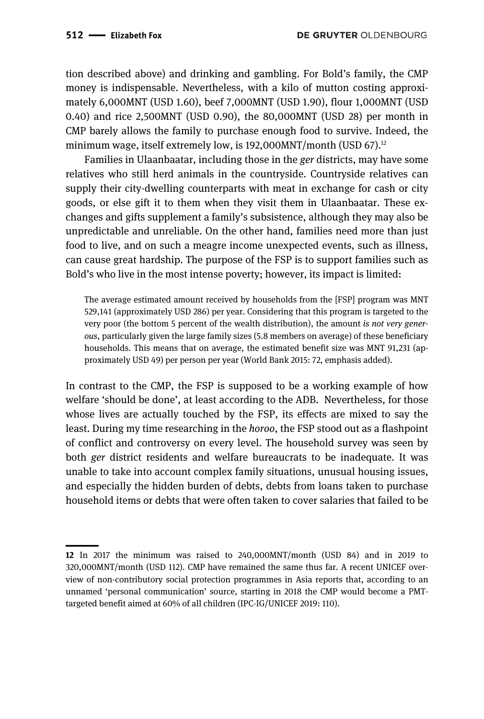tion described above) and drinking and gambling. For Bold's family, the CMP money is indispensable. Nevertheless, with a kilo of mutton costing approximately 6,000MNT (USD 1.60), beef 7,000MNT (USD 1.90), flour 1,000MNT (USD 0.40) and rice 2,500MNT (USD 0.90), the 80,000MNT (USD 28) per month in CMP barely allows the family to purchase enough food to survive. Indeed, the minimum wage, itself extremely low, is  $192,000$ MNT/month (USD 67).<sup>12</sup>

Families in Ulaanbaatar, including those in the *ger* districts, may have some relatives who still herd animals in the countryside. Countryside relatives can supply their city-dwelling counterparts with meat in exchange for cash or city goods, or else gift it to them when they visit them in Ulaanbaatar. These exchanges and gifts supplement a family's subsistence, although they may also be unpredictable and unreliable. On the other hand, families need more than just food to live, and on such a meagre income unexpected events, such as illness, can cause great hardship. The purpose of the FSP is to support families such as Bold's who live in the most intense poverty; however, its impact is limited:

The average estimated amount received by households from the [FSP] program was MNT 529,141 (approximately USD 286) per year. Considering that this program is targeted to the very poor (the bottom 5 percent of the wealth distribution), the amount *is not very generous*, particularly given the large family sizes (5.8 members on average) of these beneficiary households. This means that on average, the estimated benefit size was MNT 91,231 (approximately USD 49) per person per year (World Bank 2015: 72, emphasis added).

In contrast to the CMP, the FSP is supposed to be a working example of how welfare 'should be done', at least according to the ADB. Nevertheless, for those whose lives are actually touched by the FSP, its effects are mixed to say the least. During my time researching in the *horoo*, the FSP stood out as a flashpoint of conflict and controversy on every level. The household survey was seen by both *ger* district residents and welfare bureaucrats to be inadequate. It was unable to take into account complex family situations, unusual housing issues, and especially the hidden burden of debts, debts from loans taken to purchase household items or debts that were often taken to cover salaries that failed to be

<sup>||</sup>**12** In 2017 the minimum was raised to 240,000MNT/month (USD 84) and in 2019 to 320,000MNT/month (USD 112). CMP have remained the same thus far. A recent UNICEF overview of non-contributory social protection programmes in Asia reports that, according to an unnamed 'personal communication' source, starting in 2018 the CMP would become a PMTtargeted benefit aimed at 60% of all children (IPC-IG/UNICEF 2019: 110).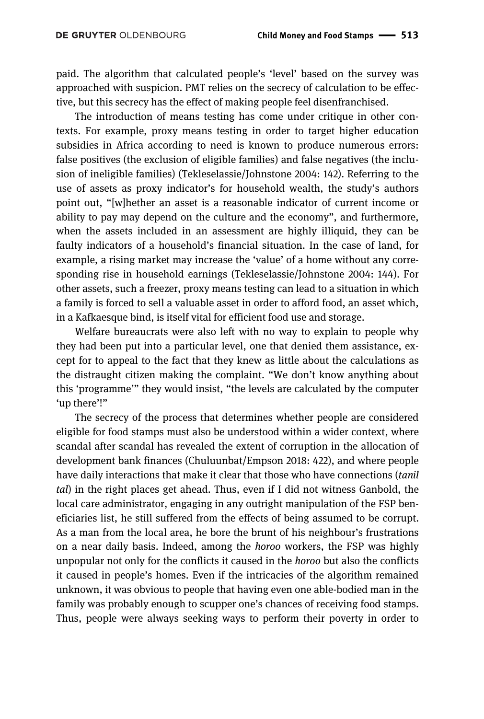paid. The algorithm that calculated people's 'level' based on the survey was approached with suspicion. PMT relies on the secrecy of calculation to be effective, but this secrecy has the effect of making people feel disenfranchised.

The introduction of means testing has come under critique in other contexts. For example, proxy means testing in order to target higher education subsidies in Africa according to need is known to produce numerous errors: false positives (the exclusion of eligible families) and false negatives (the inclusion of ineligible families) (Tekleselassie/Johnstone 2004: 142). Referring to the use of assets as proxy indicator's for household wealth, the study's authors point out, "[w]hether an asset is a reasonable indicator of current income or ability to pay may depend on the culture and the economy", and furthermore, when the assets included in an assessment are highly illiquid, they can be faulty indicators of a household's financial situation. In the case of land, for example, a rising market may increase the 'value' of a home without any corresponding rise in household earnings (Tekleselassie/Johnstone 2004: 144). For other assets, such a freezer, proxy means testing can lead to a situation in which a family is forced to sell a valuable asset in order to afford food, an asset which, in a Kafkaesque bind, is itself vital for efficient food use and storage.

Welfare bureaucrats were also left with no way to explain to people why they had been put into a particular level, one that denied them assistance, except for to appeal to the fact that they knew as little about the calculations as the distraught citizen making the complaint. "We don't know anything about this 'programme'" they would insist, "the levels are calculated by the computer 'up there'!"

The secrecy of the process that determines whether people are considered eligible for food stamps must also be understood within a wider context, where scandal after scandal has revealed the extent of corruption in the allocation of development bank finances (Chuluunbat/Empson 2018: 422), and where people have daily interactions that make it clear that those who have connections (*tanil tal*) in the right places get ahead. Thus, even if I did not witness Ganbold, the local care administrator, engaging in any outright manipulation of the FSP beneficiaries list, he still suffered from the effects of being assumed to be corrupt. As a man from the local area, he bore the brunt of his neighbour's frustrations on a near daily basis. Indeed, among the *horoo* workers, the FSP was highly unpopular not only for the conflicts it caused in the *horoo* but also the conflicts it caused in people's homes. Even if the intricacies of the algorithm remained unknown, it was obvious to people that having even one able-bodied man in the family was probably enough to scupper one's chances of receiving food stamps. Thus, people were always seeking ways to perform their poverty in order to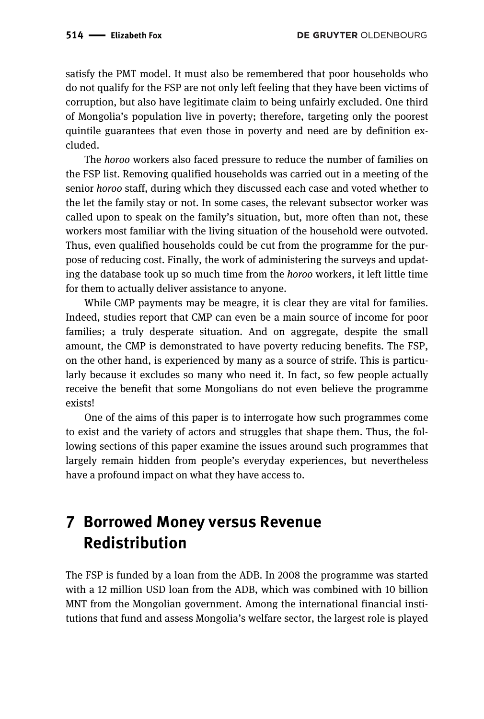satisfy the PMT model. It must also be remembered that poor households who do not qualify for the FSP are not only left feeling that they have been victims of corruption, but also have legitimate claim to being unfairly excluded. One third of Mongolia's population live in poverty; therefore, targeting only the poorest quintile guarantees that even those in poverty and need are by definition excluded.

The *horoo* workers also faced pressure to reduce the number of families on the FSP list. Removing qualified households was carried out in a meeting of the senior *horoo* staff, during which they discussed each case and voted whether to the let the family stay or not. In some cases, the relevant subsector worker was called upon to speak on the family's situation, but, more often than not, these workers most familiar with the living situation of the household were outvoted. Thus, even qualified households could be cut from the programme for the purpose of reducing cost. Finally, the work of administering the surveys and updating the database took up so much time from the *horoo* workers, it left little time for them to actually deliver assistance to anyone.

While CMP payments may be meagre, it is clear they are vital for families. Indeed, studies report that CMP can even be a main source of income for poor families; a truly desperate situation. And on aggregate, despite the small amount, the CMP is demonstrated to have poverty reducing benefits. The FSP, on the other hand, is experienced by many as a source of strife. This is particularly because it excludes so many who need it. In fact, so few people actually receive the benefit that some Mongolians do not even believe the programme exists!

One of the aims of this paper is to interrogate how such programmes come to exist and the variety of actors and struggles that shape them. Thus, the following sections of this paper examine the issues around such programmes that largely remain hidden from people's everyday experiences, but nevertheless have a profound impact on what they have access to.

## **7 Borrowed Money versus Revenue Redistribution**

The FSP is funded by a loan from the ADB. In 2008 the programme was started with a 12 million USD loan from the ADB, which was combined with 10 billion MNT from the Mongolian government. Among the international financial institutions that fund and assess Mongolia's welfare sector, the largest role is played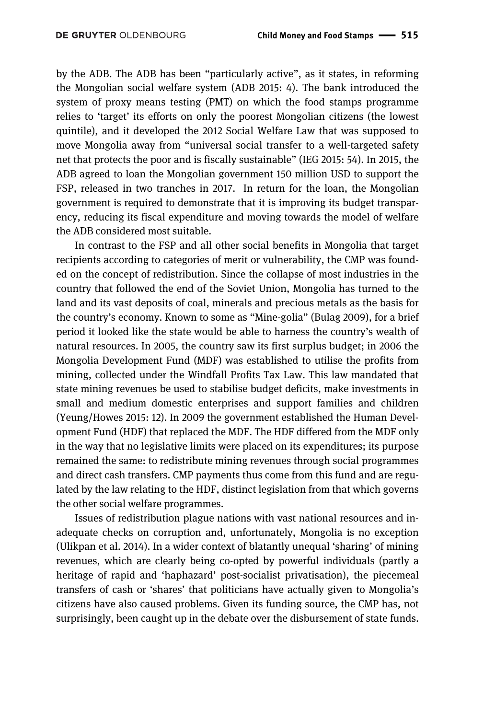by the ADB. The ADB has been "particularly active", as it states, in reforming the Mongolian social welfare system (ADB 2015: 4). The bank introduced the system of proxy means testing (PMT) on which the food stamps programme relies to 'target' its efforts on only the poorest Mongolian citizens (the lowest quintile), and it developed the 2012 Social Welfare Law that was supposed to move Mongolia away from "universal social transfer to a well-targeted safety net that protects the poor and is fiscally sustainable" (IEG 2015: 54). In 2015, the ADB agreed to loan the Mongolian government 150 million USD to support the FSP, released in two tranches in 2017. In return for the loan, the Mongolian government is required to demonstrate that it is improving its budget transparency, reducing its fiscal expenditure and moving towards the model of welfare the ADB considered most suitable.

In contrast to the FSP and all other social benefits in Mongolia that target recipients according to categories of merit or vulnerability, the CMP was founded on the concept of redistribution. Since the collapse of most industries in the country that followed the end of the Soviet Union, Mongolia has turned to the land and its vast deposits of coal, minerals and precious metals as the basis for the country's economy. Known to some as "Mine-golia" (Bulag 2009), for a brief period it looked like the state would be able to harness the country's wealth of natural resources. In 2005, the country saw its first surplus budget; in 2006 the Mongolia Development Fund (MDF) was established to utilise the profits from mining, collected under the Windfall Profits Tax Law. This law mandated that state mining revenues be used to stabilise budget deficits, make investments in small and medium domestic enterprises and support families and children (Yeung/Howes 2015: 12). In 2009 the government established the Human Development Fund (HDF) that replaced the MDF. The HDF differed from the MDF only in the way that no legislative limits were placed on its expenditures; its purpose remained the same: to redistribute mining revenues through social programmes and direct cash transfers. CMP payments thus come from this fund and are regulated by the law relating to the HDF, distinct legislation from that which governs the other social welfare programmes.

Issues of redistribution plague nations with vast national resources and inadequate checks on corruption and, unfortunately, Mongolia is no exception (Ulikpan et al. 2014). In a wider context of blatantly unequal 'sharing' of mining revenues, which are clearly being co-opted by powerful individuals (partly a heritage of rapid and 'haphazard' post-socialist privatisation), the piecemeal transfers of cash or 'shares' that politicians have actually given to Mongolia's citizens have also caused problems. Given its funding source, the CMP has, not surprisingly, been caught up in the debate over the disbursement of state funds.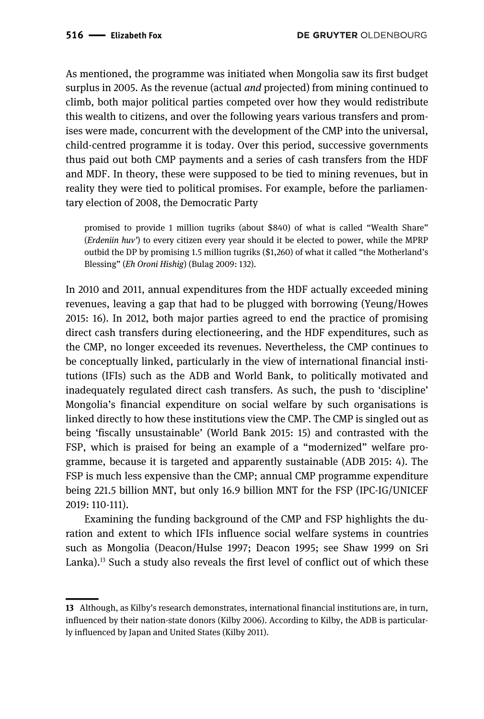As mentioned, the programme was initiated when Mongolia saw its first budget surplus in 2005. As the revenue (actual *and* projected) from mining continued to climb, both major political parties competed over how they would redistribute this wealth to citizens, and over the following years various transfers and promises were made, concurrent with the development of the CMP into the universal, child-centred programme it is today. Over this period, successive governments thus paid out both CMP payments and a series of cash transfers from the HDF and MDF. In theory, these were supposed to be tied to mining revenues, but in reality they were tied to political promises. For example, before the parliamentary election of 2008, the Democratic Party

promised to provide 1 million tugriks (about \$840) of what is called "Wealth Share" (*Erdeniin huv'*) to every citizen every year should it be elected to power, while the MPRP outbid the DP by promising 1.5 million tugriks (\$1,260) of what it called "the Motherland's Blessing" (*Eh Oroni Hishig*) (Bulag 2009: 132).

In 2010 and 2011, annual expenditures from the HDF actually exceeded mining revenues, leaving a gap that had to be plugged with borrowing (Yeung/Howes 2015: 16). In 2012, both major parties agreed to end the practice of promising direct cash transfers during electioneering, and the HDF expenditures, such as the CMP, no longer exceeded its revenues. Nevertheless, the CMP continues to be conceptually linked, particularly in the view of international financial institutions (IFIs) such as the ADB and World Bank, to politically motivated and inadequately regulated direct cash transfers. As such, the push to 'discipline' Mongolia's financial expenditure on social welfare by such organisations is linked directly to how these institutions view the CMP. The CMP is singled out as being 'fiscally unsustainable' (World Bank 2015: 15) and contrasted with the FSP, which is praised for being an example of a "modernized" welfare programme, because it is targeted and apparently sustainable (ADB 2015: 4). The FSP is much less expensive than the CMP; annual CMP programme expenditure being 221.5 billion MNT, but only 16.9 billion MNT for the FSP (IPC-IG/UNICEF 2019: 110-111).

Examining the funding background of the CMP and FSP highlights the duration and extent to which IFIs influence social welfare systems in countries such as Mongolia (Deacon/Hulse 1997; Deacon 1995; see Shaw 1999 on Sri Lanka).<sup>13</sup> Such a study also reveals the first level of conflict out of which these

<sup>||</sup>**13** Although, as Kilby's research demonstrates, international financial institutions are, in turn, influenced by their nation-state donors (Kilby 2006). According to Kilby, the ADB is particularly influenced by Japan and United States (Kilby 2011).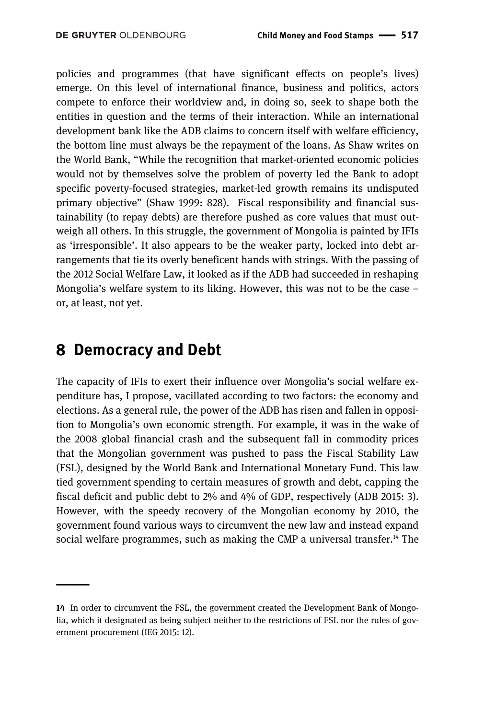policies and programmes (that have significant effects on people's lives) emerge. On this level of international finance, business and politics, actors compete to enforce their worldview and, in doing so, seek to shape both the entities in question and the terms of their interaction. While an international development bank like the ADB claims to concern itself with welfare efficiency, the bottom line must always be the repayment of the loans. As Shaw writes on the World Bank, "While the recognition that market-oriented economic policies would not by themselves solve the problem of poverty led the Bank to adopt specific poverty-focused strategies, market-led growth remains its undisputed primary objective" (Shaw 1999: 828). Fiscal responsibility and financial sustainability (to repay debts) are therefore pushed as core values that must outweigh all others. In this struggle, the government of Mongolia is painted by IFIs as 'irresponsible'. It also appears to be the weaker party, locked into debt arrangements that tie its overly beneficent hands with strings. With the passing of the 2012 Social Welfare Law, it looked as if the ADB had succeeded in reshaping Mongolia's welfare system to its liking. However, this was not to be the case – or, at least, not yet.

#### **8 Democracy and Debt**

———<br>|<br>|

The capacity of IFIs to exert their influence over Mongolia's social welfare expenditure has, I propose, vacillated according to two factors: the economy and elections. As a general rule, the power of the ADB has risen and fallen in opposition to Mongolia's own economic strength. For example, it was in the wake of the 2008 global financial crash and the subsequent fall in commodity prices that the Mongolian government was pushed to pass the Fiscal Stability Law (FSL), designed by the World Bank and International Monetary Fund. This law tied government spending to certain measures of growth and debt, capping the fiscal deficit and public debt to 2% and 4% of GDP, respectively (ADB 2015: 3). However, with the speedy recovery of the Mongolian economy by 2010, the government found various ways to circumvent the new law and instead expand social welfare programmes, such as making the CMP a universal transfer.<sup>14</sup> The

**<sup>14</sup>** In order to circumvent the FSL, the government created the Development Bank of Mongolia, which it designated as being subject neither to the restrictions of FSL nor the rules of government procurement (IEG 2015: 12).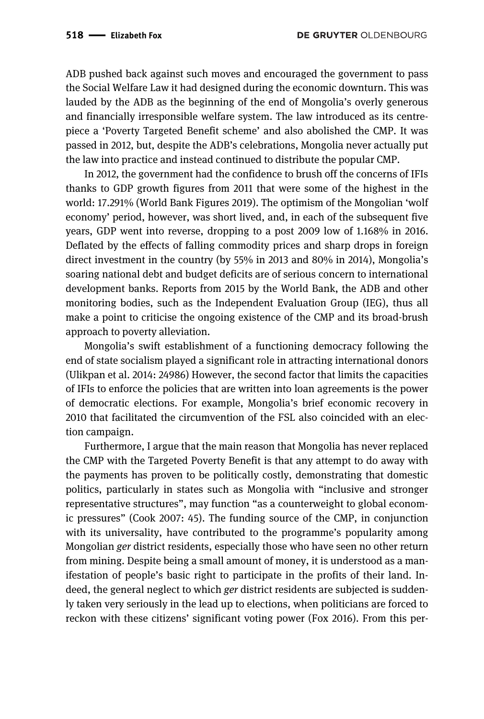ADB pushed back against such moves and encouraged the government to pass the Social Welfare Law it had designed during the economic downturn. This was lauded by the ADB as the beginning of the end of Mongolia's overly generous and financially irresponsible welfare system. The law introduced as its centrepiece a 'Poverty Targeted Benefit scheme' and also abolished the CMP. It was passed in 2012, but, despite the ADB's celebrations, Mongolia never actually put the law into practice and instead continued to distribute the popular CMP.

In 2012, the government had the confidence to brush off the concerns of IFIs thanks to GDP growth figures from 2011 that were some of the highest in the world: 17.291% (World Bank Figures 2019). The optimism of the Mongolian 'wolf economy' period, however, was short lived, and, in each of the subsequent five years, GDP went into reverse, dropping to a post 2009 low of 1.168% in 2016. Deflated by the effects of falling commodity prices and sharp drops in foreign direct investment in the country (by 55% in 2013 and 80% in 2014), Mongolia's soaring national debt and budget deficits are of serious concern to international development banks. Reports from 2015 by the World Bank, the ADB and other monitoring bodies, such as the Independent Evaluation Group (IEG), thus all make a point to criticise the ongoing existence of the CMP and its broad-brush approach to poverty alleviation.

Mongolia's swift establishment of a functioning democracy following the end of state socialism played a significant role in attracting international donors (Ulikpan et al. 2014: 24986) However, the second factor that limits the capacities of IFIs to enforce the policies that are written into loan agreements is the power of democratic elections. For example, Mongolia's brief economic recovery in 2010 that facilitated the circumvention of the FSL also coincided with an election campaign.

Furthermore, I argue that the main reason that Mongolia has never replaced the CMP with the Targeted Poverty Benefit is that any attempt to do away with the payments has proven to be politically costly, demonstrating that domestic politics, particularly in states such as Mongolia with "inclusive and stronger representative structures", may function "as a counterweight to global economic pressures" (Cook 2007: 45). The funding source of the CMP, in conjunction with its universality, have contributed to the programme's popularity among Mongolian *ger* district residents, especially those who have seen no other return from mining. Despite being a small amount of money, it is understood as a manifestation of people's basic right to participate in the profits of their land. Indeed, the general neglect to which *ger* district residents are subjected is suddenly taken very seriously in the lead up to elections, when politicians are forced to reckon with these citizens' significant voting power (Fox 2016). From this per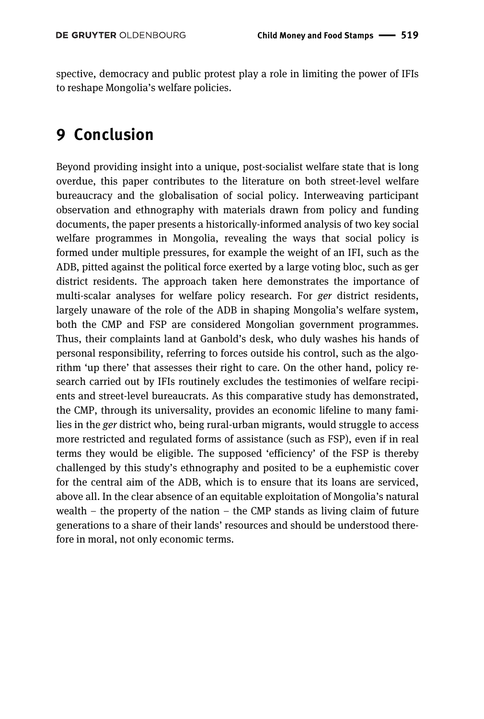spective, democracy and public protest play a role in limiting the power of IFIs to reshape Mongolia's welfare policies.

### **9 Conclusion**

Beyond providing insight into a unique, post-socialist welfare state that is long overdue, this paper contributes to the literature on both street-level welfare bureaucracy and the globalisation of social policy. Interweaving participant observation and ethnography with materials drawn from policy and funding documents, the paper presents a historically-informed analysis of two key social welfare programmes in Mongolia, revealing the ways that social policy is formed under multiple pressures, for example the weight of an IFI, such as the ADB, pitted against the political force exerted by a large voting bloc, such as ger district residents. The approach taken here demonstrates the importance of multi-scalar analyses for welfare policy research. For *ger* district residents, largely unaware of the role of the ADB in shaping Mongolia's welfare system, both the CMP and FSP are considered Mongolian government programmes. Thus, their complaints land at Ganbold's desk, who duly washes his hands of personal responsibility, referring to forces outside his control, such as the algorithm 'up there' that assesses their right to care. On the other hand, policy research carried out by IFIs routinely excludes the testimonies of welfare recipients and street-level bureaucrats. As this comparative study has demonstrated, the CMP, through its universality, provides an economic lifeline to many families in the *ger* district who, being rural-urban migrants, would struggle to access more restricted and regulated forms of assistance (such as FSP), even if in real terms they would be eligible. The supposed 'efficiency' of the FSP is thereby challenged by this study's ethnography and posited to be a euphemistic cover for the central aim of the ADB, which is to ensure that its loans are serviced, above all. In the clear absence of an equitable exploitation of Mongolia's natural wealth – the property of the nation – the CMP stands as living claim of future generations to a share of their lands' resources and should be understood therefore in moral, not only economic terms.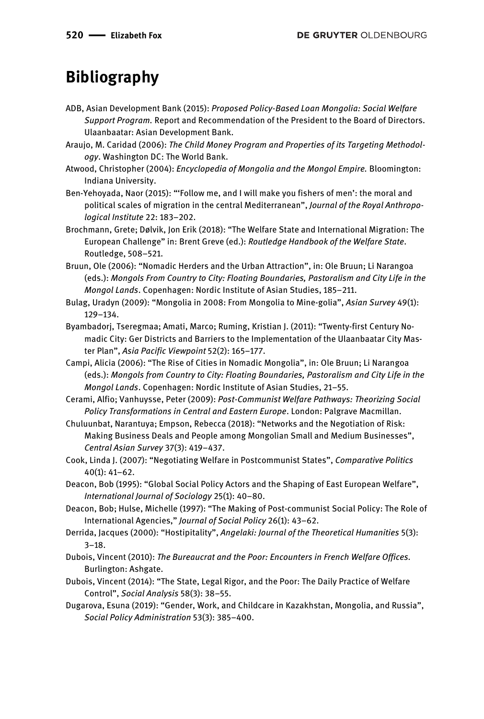### **Bibliography**

- ADB, Asian Development Bank (2015): *Proposed Policy-Based Loan Mongolia: Social Welfare Support Program.* Report and Recommendation of the President to the Board of Directors. Ulaanbaatar: Asian Development Bank.
- Araujo, M. Caridad (2006): *The Child Money Program and Properties of its Targeting Methodology*. Washington DC: The World Bank.
- Atwood, Christopher (2004): *Encyclopedia of Mongolia and the Mongol Empire.* Bloomington: Indiana University.
- Ben-Yehoyada, Naor (2015): "'Follow me, and I will make you fishers of men': the moral and political scales of migration in the central Mediterranean", *Journal of the Royal Anthropological Institute* 22: 183–202.
- Brochmann, Grete; Dølvik, Jon Erik (2018): "The Welfare State and International Migration: The European Challenge" in: Brent Greve (ed.): *Routledge Handbook of the Welfare State*. Routledge, 508–521.
- Bruun, Ole (2006): "Nomadic Herders and the Urban Attraction", in: Ole Bruun; Li Narangoa (eds.): *Mongols From Country to City: Floating Boundaries, Pastoralism and City Life in the Mongol Lands*. Copenhagen: Nordic Institute of Asian Studies, 185–211.
- Bulag, Uradyn (2009): "Mongolia in 2008: From Mongolia to Mine-golia", *Asian Survey* 49(1): 129–134.
- Byambadorj, Tseregmaa; Amati, Marco; Ruming, Kristian J. (2011): "Twenty-first Century Nomadic City: Ger Districts and Barriers to the Implementation of the Ulaanbaatar City Master Plan", *Asia Pacific Viewpoint* 52(2): 165–177.
- Campi, Alicia (2006): "The Rise of Cities in Nomadic Mongolia", in: Ole Bruun; Li Narangoa (eds.): *Mongols from Country to City: Floating Boundaries, Pastoralism and City Life in the Mongol Lands*. Copenhagen: Nordic Institute of Asian Studies, 21–55.
- Cerami, Alfio; Vanhuysse, Peter (2009): *Post-Communist Welfare Pathways: Theorizing Social Policy Transformations in Central and Eastern Europe*. London: Palgrave Macmillan.
- Chuluunbat, Narantuya; Empson, Rebecca (2018): "Networks and the Negotiation of Risk: Making Business Deals and People among Mongolian Small and Medium Businesses", *Central Asian Survey* 37(3): 419–437.
- Cook, Linda J. (2007): "Negotiating Welfare in Postcommunist States", *Comparative Politics* 40(1): 41–62.
- Deacon, Bob (1995): "Global Social Policy Actors and the Shaping of East European Welfare", *International Journal of Sociology* 25(1): 40–80.
- Deacon, Bob; Hulse, Michelle (1997): "The Making of Post-communist Social Policy: The Role of International Agencies," *Journal of Social Policy* 26(1): 43–62.
- Derrida, Jacques (2000): "Hostipitality", *Angelaki: Journal of the Theoretical Humanities* 5(3): 3–18.
- Dubois, Vincent (2010): *The Bureaucrat and the Poor: Encounters in French Welfare Offices.* Burlington: Ashgate.
- Dubois, Vincent (2014): "The State, Legal Rigor, and the Poor: The Daily Practice of Welfare Control", *Social Analysis* 58(3): 38–55.
- Dugarova, Esuna (2019): "Gender, Work, and Childcare in Kazakhstan, Mongolia, and Russia", *Social Policy Administration* 53(3): 385–400.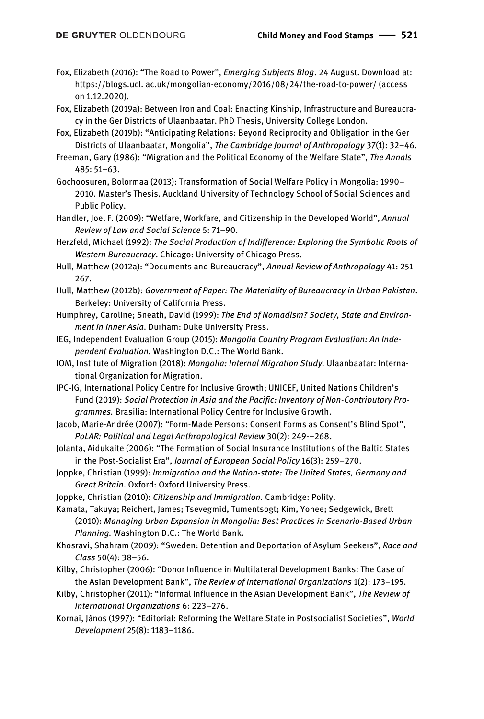- Fox, Elizabeth (2016): "The Road to Power", *Emerging Subjects Blog*. 24 August. Download at: https://blogs.ucl. ac.uk/mongolian-economy/2016/08/24/the-road-to-power/ (access on 1.12.2020).
- Fox, Elizabeth (2019a): Between Iron and Coal: Enacting Kinship, Infrastructure and Bureaucracy in the Ger Districts of Ulaanbaatar. PhD Thesis, University College London.
- Fox, Elizabeth (2019b): "Anticipating Relations: Beyond Reciprocity and Obligation in the Ger Districts of Ulaanbaatar, Mongolia", *The Cambridge Journal of Anthropology* 37(1): 32–46.
- Freeman, Gary (1986): "Migration and the Political Economy of the Welfare State", *The Annals* 485: 51–63.
- Gochoosuren, Bolormaa (2013): Transformation of Social Welfare Policy in Mongolia: 1990– 2010*.* Master's Thesis, Auckland University of Technology School of Social Sciences and Public Policy.
- Handler, Joel F. (2009): "Welfare, Workfare, and Citizenship in the Developed World", *Annual Review of Law and Social Science* 5: 71–90.
- Herzfeld, Michael (1992): *The Social Production of Indifference: Exploring the Symbolic Roots of Western Bureaucracy*. Chicago: University of Chicago Press.
- Hull, Matthew (2012a): "Documents and Bureaucracy", *Annual Review of Anthropology* 41: 251– 267.
- Hull, Matthew (2012b): *Government of Paper: The Materiality of Bureaucracy in Urban Pakistan*. Berkeley: University of California Press.
- Humphrey, Caroline; Sneath, David (1999): *The End of Nomadism? Society, State and Environment in Inner Asia*. Durham: Duke University Press.
- IEG, Independent Evaluation Group (2015): *Mongolia Country Program Evaluation: An Independent Evaluation.* Washington D.C.: The World Bank.
- IOM, Institute of Migration (2018): *Mongolia: Internal Migration Study.* Ulaanbaatar: International Organization for Migration.
- IPC-IG, International Policy Centre for Inclusive Growth; UNICEF, United Nations Children's Fund (2019): *Social Protection in Asia and the Pacific: Inventory of Non-Contributory Programmes.* Brasilia: International Policy Centre for Inclusive Growth.
- Jacob, Marie-Andrée (2007): "Form-Made Persons: Consent Forms as Consent's Blind Spot", *PoLAR: Political and Legal Anthropological Review* 30(2): 249-–268.
- Jolanta, Aidukaite (2006): "The Formation of Social Insurance Institutions of the Baltic States in the Post-Socialist Era", *Journal of European Social Policy* 16(3): 259–270.
- Joppke, Christian (1999): *Immigration and the Nation-state: The United States, Germany and Great Britain*. Oxford: Oxford University Press.
- Joppke, Christian (2010): *Citizenship and Immigration.* Cambridge: Polity.
- Kamata, Takuya; Reichert, James; Tsevegmid, Tumentsogt; Kim, Yohee; Sedgewick, Brett (2010): *Managing Urban Expansion in Mongolia: Best Practices in Scenario-Based Urban Planning.* Washington D.C.: The World Bank.
- Khosravi, Shahram (2009): "Sweden: Detention and Deportation of Asylum Seekers", *Race and Class* 50(4): 38–56.
- Kilby, Christopher (2006): "Donor Influence in Multilateral Development Banks: The Case of the Asian Development Bank", *The Review of International Organizations* 1(2): 173–195.
- Kilby, Christopher (2011): "Informal Influence in the Asian Development Bank", *The Review of International Organizations* 6: 223–276.
- Kornai, János (1997): "Editorial: Reforming the Welfare State in Postsocialist Societies", *World Development* 25(8): 1183–1186.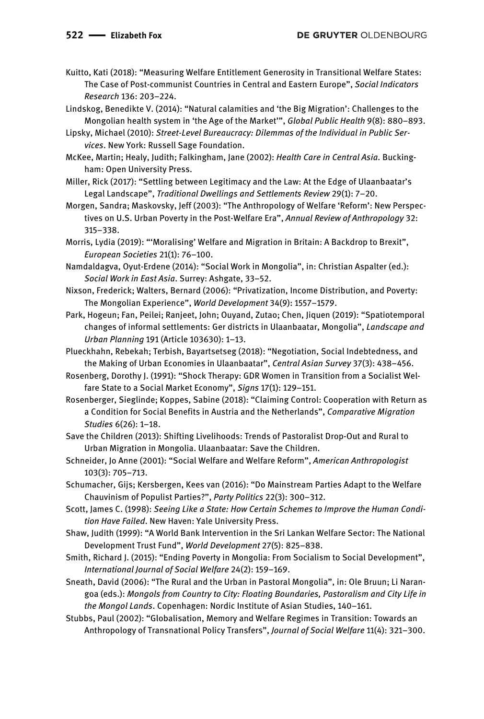Kuitto, Kati (2018): "Measuring Welfare Entitlement Generosity in Transitional Welfare States: The Case of Post-communist Countries in Central and Eastern Europe", *Social Indicators Research* 136: 203–224.

Lindskog, Benedikte V. (2014): "Natural calamities and 'the Big Migration': Challenges to the Mongolian health system in 'the Age of the Market'", *Global Public Health* 9(8): 880–893.

Lipsky, Michael (2010): *Street-Level Bureaucracy: Dilemmas of the Individual in Public Services*. New York: Russell Sage Foundation.

McKee, Martin; Healy, Judith; Falkingham, Jane (2002): *Health Care in Central Asia.* Buckingham: Open University Press.

Miller, Rick (2017): "Settling between Legitimacy and the Law: At the Edge of Ulaanbaatar's Legal Landscape", *Traditional Dwellings and Settlements Review* 29(1): 7–20.

Morgen, Sandra; Maskovsky, Jeff (2003): "The Anthropology of Welfare 'Reform': New Perspectives on U.S. Urban Poverty in the Post-Welfare Era", *Annual Review of Anthropology* 32: 315–338.

Morris, Lydia (2019): "'Moralising' Welfare and Migration in Britain: A Backdrop to Brexit", *European Societies* 21(1): 76–100.

Namdaldagva, Oyut-Erdene (2014): "Social Work in Mongolia", in: Christian Aspalter (ed.): *Social Work in East Asia*. Surrey: Ashgate, 33–52.

- Nixson, Frederick; Walters, Bernard (2006): "Privatization, Income Distribution, and Poverty: The Mongolian Experience", *World Development* 34(9): 1557–1579.
- Park, Hogeun; Fan, Peilei; Ranjeet, John; Ouyand, Zutao; Chen, Jiquen (2019): "Spatiotemporal changes of informal settlements: Ger districts in Ulaanbaatar, Mongolia", *Landscape and Urban Planning* 191 (Article 103630): 1–13.

Plueckhahn, Rebekah; Terbish, Bayartsetseg (2018): "Negotiation, Social Indebtedness, and the Making of Urban Economies in Ulaanbaatar", *Central Asian Survey* 37(3): 438–456.

Rosenberg, Dorothy J. (1991): "Shock Therapy: GDR Women in Transition from a Socialist Welfare State to a Social Market Economy", *Signs* 17(1): 129–151.

Rosenberger, Sieglinde; Koppes, Sabine (2018): "Claiming Control: Cooperation with Return as a Condition for Social Benefits in Austria and the Netherlands", *Comparative Migration Studies* 6(26): 1–18.

Save the Children (2013): Shifting Livelihoods: Trends of Pastoralist Drop-Out and Rural to Urban Migration in Mongolia. Ulaanbaatar: Save the Children.

Schneider, Jo Anne (2001): "Social Welfare and Welfare Reform", *American Anthropologist* 103(3): 705–713.

Schumacher, Gijs; Kersbergen, Kees van (2016): "Do Mainstream Parties Adapt to the Welfare Chauvinism of Populist Parties?", *Party Politics* 22(3): 300–312.

Scott, James C. (1998): *Seeing Like a State: How Certain Schemes to Improve the Human Condition Have Failed*. New Haven: Yale University Press.

Shaw, Judith (1999): "A World Bank Intervention in the Sri Lankan Welfare Sector: The National Development Trust Fund", *World Development* 27(5): 825–838.

Smith, Richard J. (2015): "Ending Poverty in Mongolia: From Socialism to Social Development", *International Journal of Social Welfare* 24(2): 159–169.

Sneath, David (2006): "The Rural and the Urban in Pastoral Mongolia", in: Ole Bruun; Li Narangoa (eds.): *Mongols from Country to City: Floating Boundaries, Pastoralism and City Life in the Mongol Lands*. Copenhagen: Nordic Institute of Asian Studies, 140–161.

Stubbs, Paul (2002): "Globalisation, Memory and Welfare Regimes in Transition: Towards an Anthropology of Transnational Policy Transfers", *Journal of Social Welfare* 11(4): 321–300.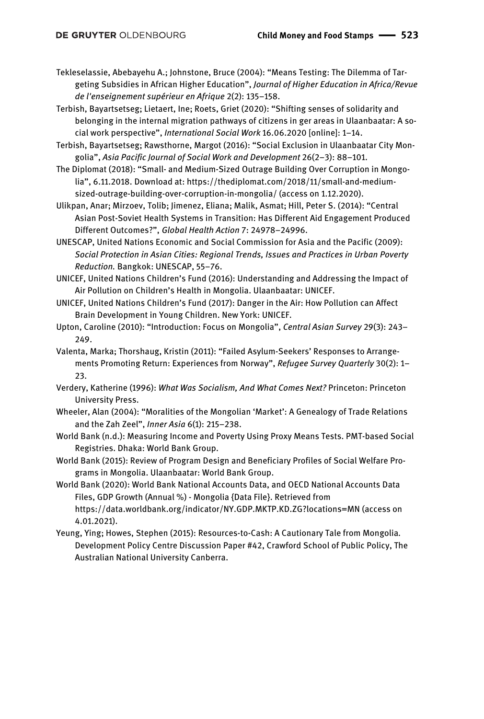Tekleselassie, Abebayehu A.; Johnstone, Bruce (2004): "Means Testing: The Dilemma of Targeting Subsidies in African Higher Education", *Journal of Higher Education in Africa/Revue de l'enseignement supérieur en Afrique* 2(2): 135–158.

Terbish, Bayartsetseg; Lietaert, Ine; Roets, Griet (2020): "Shifting senses of solidarity and belonging in the internal migration pathways of citizens in ger areas in Ulaanbaatar: A social work perspective", *International Social Work* 16.06.2020 [online]: 1–14.

Terbish, Bayartsetseg; Rawsthorne, Margot (2016): "Social Exclusion in Ulaanbaatar City Mongolia", *Asia Pacific Journal of Social Work and Development* 26(2–3): 88–101.

The Diplomat (2018): "Small- and Medium-Sized Outrage Building Over Corruption in Mongolia", 6.11.2018. Download at: https://thediplomat.com/2018/11/small-and-mediumsized-outrage-building-over-corruption-in-mongolia/ (access on 1.12.2020).

Ulikpan, Anar; Mirzoev, Tolib; Jimenez, Eliana; Malik, Asmat; Hill, Peter S. (2014): "Central Asian Post-Soviet Health Systems in Transition: Has Different Aid Engagement Produced Different Outcomes?", *Global Health Action* 7: 24978–24996.

UNESCAP, United Nations Economic and Social Commission for Asia and the Pacific (2009): *Social Protection in Asian Cities: Regional Trends, Issues and Practices in Urban Poverty Reduction.* Bangkok: UNESCAP, 55–76.

UNICEF, United Nations Children's Fund (2016): Understanding and Addressing the Impact of Air Pollution on Children's Health in Mongolia. Ulaanbaatar: UNICEF.

UNICEF, United Nations Children's Fund (2017): Danger in the Air: How Pollution can Affect Brain Development in Young Children. New York: UNICEF.

Upton, Caroline (2010): "Introduction: Focus on Mongolia", *Central Asian Survey* 29(3): 243– 249.

Valenta, Marka; Thorshaug, Kristin (2011): "Failed Asylum-Seekers' Responses to Arrangements Promoting Return: Experiences from Norway", *Refugee Survey Quarterly* 30(2): 1– 23.

Verdery, Katherine (1996): *What Was Socialism, And What Comes Next?* Princeton: Princeton University Press.

Wheeler, Alan (2004): "Moralities of the Mongolian 'Market': A Genealogy of Trade Relations and the Zah Zeel", *Inner Asia* 6(1): 215–238.

World Bank (n.d.): Measuring Income and Poverty Using Proxy Means Tests. PMT-based Social Registries. Dhaka: World Bank Group.

World Bank (2015): Review of Program Design and Beneficiary Profiles of Social Welfare Programs in Mongolia. Ulaanbaatar: World Bank Group.

World Bank (2020): World Bank National Accounts Data, and OECD National Accounts Data Files, GDP Growth (Annual %) - Mongolia {Data File}. Retrieved from https://data.worldbank.org/indicator/NY.GDP.MKTP.KD.ZG?locations=MN (access on 4.01.2021).

Yeung, Ying; Howes, Stephen (2015): Resources-to-Cash: A Cautionary Tale from Mongolia*.* Development Policy Centre Discussion Paper #42, Crawford School of Public Policy, The Australian National University Canberra.